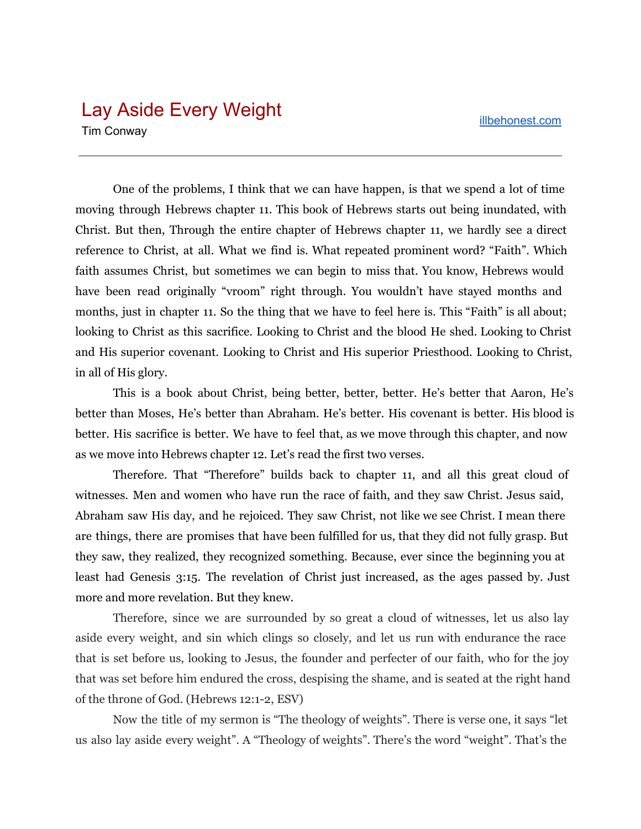## Lay Aside Every Weight

Tim Conway

One of the problems, I think that we can have happen, is that we spend a lot of time moving through Hebrews chapter 11. This book of Hebrews starts out being inundated, with Christ. But then, Through the entire chapter of Hebrews chapter 11, we hardly see a direct reference to Christ, at all. What we find is. What repeated prominent word? "Faith". Which faith assumes Christ, but sometimes we can begin to miss that. You know, Hebrews would have been read originally "vroom" right through. You wouldn't have stayed months and months, just in chapter 11. So the thing that we have to feel here is. This "Faith" is all about; looking to Christ as this sacrifice. Looking to Christ and the blood He shed. Looking to Christ and His superior covenant. Looking to Christ and His superior Priesthood. Looking to Christ, in all of His glory.

This is a book about Christ, being better, better, better. He's better that Aaron, He's better than Moses, He's better than Abraham. He's better. His covenant is better. His blood is better. His sacrifice is better. We have to feel that, as we move through this chapter, and now as we move into Hebrews chapter 12. Let's read the first two verses.

Therefore. That "Therefore" builds back to chapter 11, and all this great cloud of witnesses. Men and women who have run the race of faith, and they saw Christ. Jesus said, Abraham saw His day, and he rejoiced. They saw Christ, not like we see Christ. I mean there are things, there are promises that have been fulfilled for us, that they did not fully grasp. But they saw, they realized, they recognized something. Because, ever since the beginning you at least had Genesis 3:15. The revelation of Christ just increased, as the ages passed by. Just more and more revelation. But they knew.

Therefore, since we are surrounded by so great a cloud of witnesses, let us also lay aside every weight, and sin which clings so closely, and let us run with endurance the race that is set before us, looking to Jesus, the founder and perfecter of our faith, who for the joy that was set before him endured the cross, despising the shame, and is seated at the right hand of the throne of God. (Hebrews 12:1-2, ESV)

Now the title of my sermon is "The theology of weights". There is verse one, it says "let us also lay aside every weight". A "Theology of weights". There's the word "weight". That's the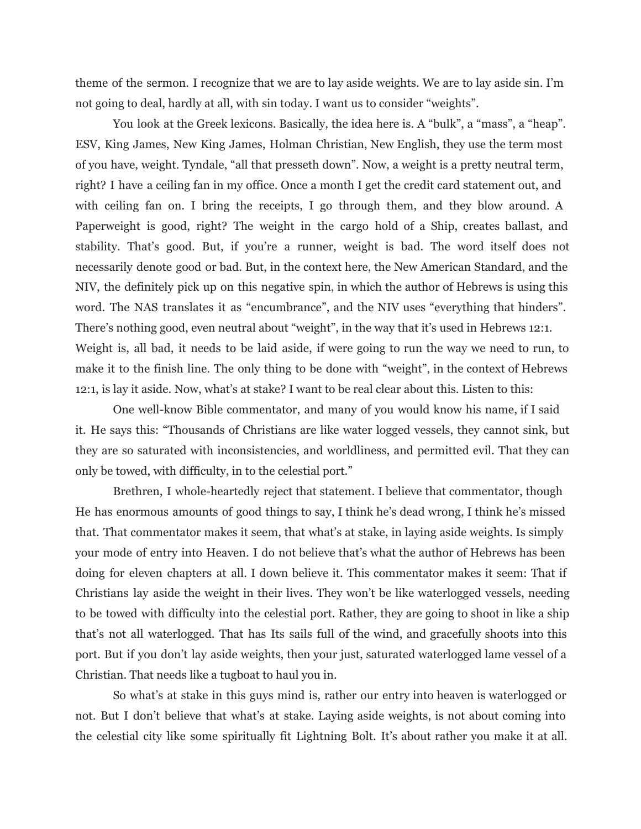theme of the sermon. I recognize that we are to lay aside weights. We are to lay aside sin. I'm not going to deal, hardly at all, with sin today. I want us to consider "weights".

You look at the Greek lexicons. Basically, the idea here is. A "bulk", a "mass", a "heap". ESV, King James, New King James, Holman Christian, New English, they use the term most of you have, weight. Tyndale, "all that presseth down". Now, a weight is a pretty neutral term, right? I have a ceiling fan in my office. Once a month I get the credit card statement out, and with ceiling fan on. I bring the receipts, I go through them, and they blow around. A Paperweight is good, right? The weight in the cargo hold of a Ship, creates ballast, and stability. That's good. But, if you're a runner, weight is bad. The word itself does not necessarily denote good or bad. But, in the context here, the New American Standard, and the NIV, the definitely pick up on this negative spin, in which the author of Hebrews is using this word. The NAS translates it as "encumbrance", and the NIV uses "everything that hinders". There's nothing good, even neutral about "weight", in the way that it's used in Hebrews 12:1. Weight is, all bad, it needs to be laid aside, if were going to run the way we need to run, to make it to the finish line. The only thing to be done with "weight", in the context of Hebrews 12:1, is lay it aside. Now, what's at stake? I want to be real clear about this. Listen to this:

One well-know Bible commentator, and many of you would know his name, if I said it. He says this: "Thousands of Christians are like water logged vessels, they cannot sink, but they are so saturated with inconsistencies, and worldliness, and permitted evil. That they can only be towed, with difficulty, in to the celestial port."

Brethren, I whole-heartedly reject that statement. I believe that commentator, though He has enormous amounts of good things to say, I think he's dead wrong, I think he's missed that. That commentator makes it seem, that what's at stake, in laying aside weights. Is simply your mode of entry into Heaven. I do not believe that's what the author of Hebrews has been doing for eleven chapters at all. I down believe it. This commentator makes it seem: That if Christians lay aside the weight in their lives. They won't be like waterlogged vessels, needing to be towed with difficulty into the celestial port. Rather, they are going to shoot in like a ship that's not all waterlogged. That has Its sails full of the wind, and gracefully shoots into this port. But if you don't lay aside weights, then your just, saturated waterlogged lame vessel of a Christian. That needs like a tugboat to haul you in.

So what's at stake in this guys mind is, rather our entry into heaven is waterlogged or not. But I don't believe that what's at stake. Laying aside weights, is not about coming into the celestial city like some spiritually fit Lightning Bolt. It's about rather you make it at all.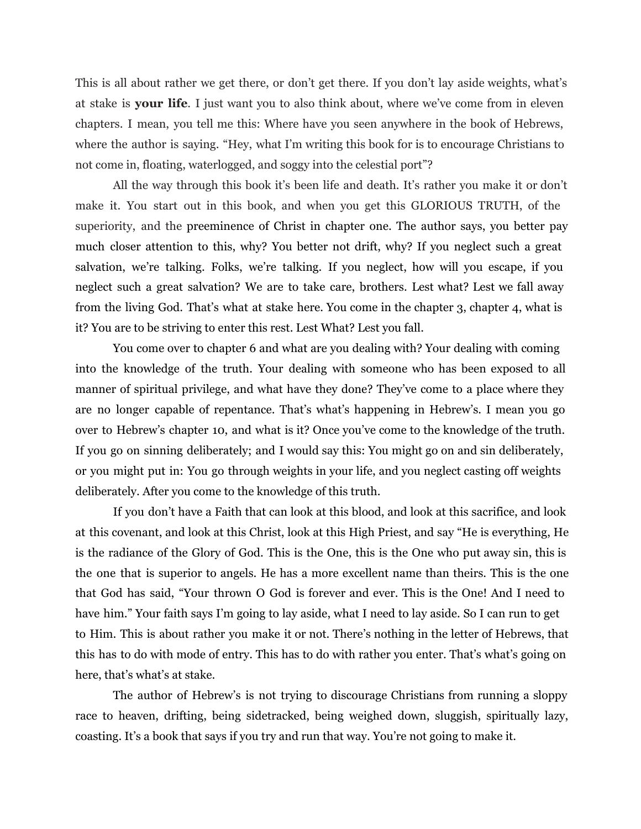This is all about rather we get there, or don't get there. If you don't lay aside weights, what's at stake is **your life**. I just want you to also think about, where we've come from in eleven chapters. I mean, you tell me this: Where have you seen anywhere in the book of Hebrews, where the author is saying. "Hey, what I'm writing this book for is to encourage Christians to not come in, floating, waterlogged, and soggy into the celestial port"?

All the way through this book it's been life and death. It's rather you make it or don't make it. You start out in this book, and when you get this GLORIOUS TRUTH, of the superiority, and the preeminence of Christ in chapter one. The author says, you better pay much closer attention to this, why? You better not drift, why? If you neglect such a great salvation, we're talking. Folks, we're talking. If you neglect, how will you escape, if you neglect such a great salvation? We are to take care, brothers. Lest what? Lest we fall away from the living God. That's what at stake here. You come in the chapter 3, chapter 4, what is it? You are to be striving to enter this rest. Lest What? Lest you fall.

You come over to chapter 6 and what are you dealing with? Your dealing with coming into the knowledge of the truth. Your dealing with someone who has been exposed to all manner of spiritual privilege, and what have they done? They've come to a place where they are no longer capable of repentance. That's what's happening in Hebrew's. I mean you go over to Hebrew's chapter 10, and what is it? Once you've come to the knowledge of the truth. If you go on sinning deliberately; and I would say this: You might go on and sin deliberately, or you might put in: You go through weights in your life, and you neglect casting off weights deliberately. After you come to the knowledge of this truth.

If you don't have a Faith that can look at this blood, and look at this sacrifice, and look at this covenant, and look at this Christ, look at this High Priest, and say "He is everything, He is the radiance of the Glory of God. This is the One, this is the One who put away sin, this is the one that is superior to angels. He has a more excellent name than theirs. This is the one that God has said, "Your thrown O God is forever and ever. This is the One! And I need to have him." Your faith says I'm going to lay aside, what I need to lay aside. So I can run to get to Him. This is about rather you make it or not. There's nothing in the letter of Hebrews, that this has to do with mode of entry. This has to do with rather you enter. That's what's going on here, that's what's at stake.

The author of Hebrew's is not trying to discourage Christians from running a sloppy race to heaven, drifting, being sidetracked, being weighed down, sluggish, spiritually lazy, coasting. It's a book that says if you try and run that way. You're not going to make it.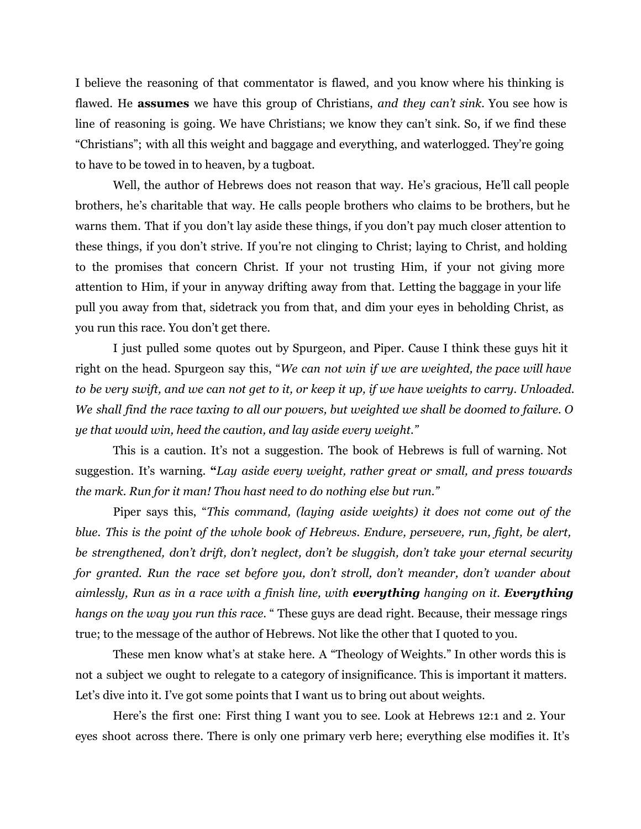I believe the reasoning of that commentator is flawed, and you know where his thinking is flawed. He **assumes** we have this group of Christians, *and they can't sink.* You see how is line of reasoning is going. We have Christians; we know they can't sink. So, if we find these "Christians"; with all this weight and baggage and everything, and waterlogged. They're going to have to be towed in to heaven, by a tugboat.

Well, the author of Hebrews does not reason that way. He's gracious, He'll call people brothers, he's charitable that way. He calls people brothers who claims to be brothers, but he warns them. That if you don't lay aside these things, if you don't pay much closer attention to these things, if you don't strive. If you're not clinging to Christ; laying to Christ, and holding to the promises that concern Christ. If your not trusting Him, if your not giving more attention to Him, if your in anyway drifting away from that. Letting the baggage in your life pull you away from that, sidetrack you from that, and dim your eyes in beholding Christ, as you run this race. You don't get there.

I just pulled some quotes out by Spurgeon, and Piper. Cause I think these guys hit it right on the head. Spurgeon say this, "*We can not win if we are weighted, the pace will have* to be very swift, and we can not get to it, or keep it up, if we have weights to carry. Unloaded. We shall find the race taxing to all our powers, but weighted we shall be doomed to failure. O *ye that would win, heed the caution, and lay aside every weight."*

This is a caution. It's not a suggestion. The book of Hebrews is full of warning. Not suggestion. It's warning. **"***Lay aside every weight, rather great or small, and press towards the mark. Run for it man! Thou hast need to do nothing else but run."*

Piper says this, "*This command, (laying aside weights) it does not come out of the blue. This is the point of the whole book of Hebrews. Endure, persevere, run, fight, be alert, be strengthened, don't drift, don't neglect, don't be sluggish, don't take your eternal security for granted. Run the race set before you, don't stroll, don't meander, don't wander about aimlessly, Run as in a race with a finish line, with everything hanging on it. Everything hangs on the way you run this race*. " These guys are dead right. Because, their message rings true; to the message of the author of Hebrews. Not like the other that I quoted to you.

These men know what's at stake here. A "Theology of Weights." In other words this is not a subject we ought to relegate to a category of insignificance. This is important it matters. Let's dive into it. I've got some points that I want us to bring out about weights.

Here's the first one: First thing I want you to see. Look at Hebrews 12:1 and 2. Your eyes shoot across there. There is only one primary verb here; everything else modifies it. It's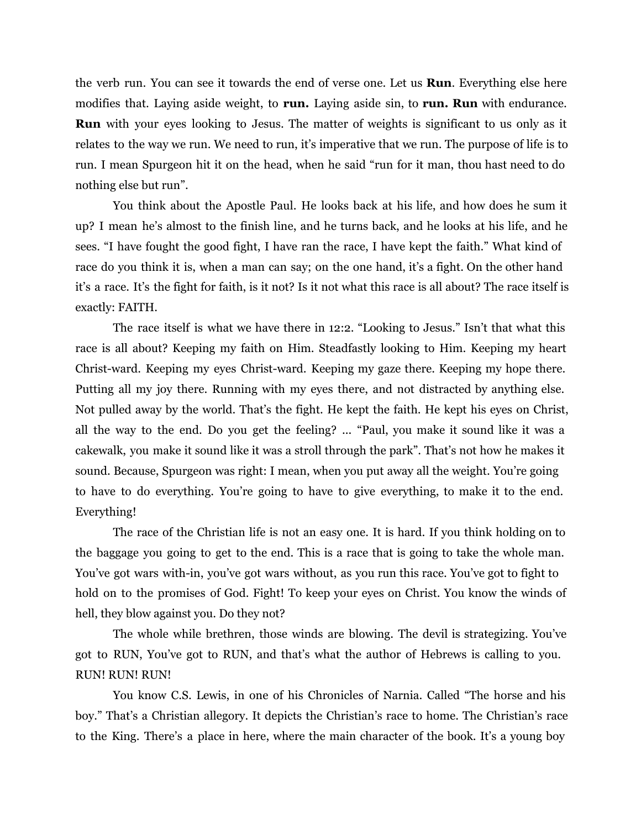the verb run. You can see it towards the end of verse one. Let us **Run**. Everything else here modifies that. Laying aside weight, to **run.** Laying aside sin, to **run. Run** with endurance. **Run** with your eyes looking to Jesus. The matter of weights is significant to us only as it relates to the way we run. We need to run, it's imperative that we run. The purpose of life is to run. I mean Spurgeon hit it on the head, when he said "run for it man, thou hast need to do nothing else but run".

You think about the Apostle Paul. He looks back at his life, and how does he sum it up? I mean he's almost to the finish line, and he turns back, and he looks at his life, and he sees. "I have fought the good fight, I have ran the race, I have kept the faith." What kind of race do you think it is, when a man can say; on the one hand, it's a fight. On the other hand it's a race. It's the fight for faith, is it not? Is it not what this race is all about? The race itself is exactly: FAITH.

The race itself is what we have there in 12:2. "Looking to Jesus." Isn't that what this race is all about? Keeping my faith on Him. Steadfastly looking to Him. Keeping my heart Christ-ward. Keeping my eyes Christ-ward. Keeping my gaze there. Keeping my hope there. Putting all my joy there. Running with my eyes there, and not distracted by anything else. Not pulled away by the world. That's the fight. He kept the faith. He kept his eyes on Christ, all the way to the end. Do you get the feeling? ... "Paul, you make it sound like it was a cakewalk, you make it sound like it was a stroll through the park". That's not how he makes it sound. Because, Spurgeon was right: I mean, when you put away all the weight. You're going to have to do everything. You're going to have to give everything, to make it to the end. Everything!

The race of the Christian life is not an easy one. It is hard. If you think holding on to the baggage you going to get to the end. This is a race that is going to take the whole man. You've got wars with-in, you've got wars without, as you run this race. You've got to fight to hold on to the promises of God. Fight! To keep your eyes on Christ. You know the winds of hell, they blow against you. Do they not?

The whole while brethren, those winds are blowing. The devil is strategizing. You've got to RUN, You've got to RUN, and that's what the author of Hebrews is calling to you. RUN! RUN! RUN!

You know C.S. Lewis, in one of his Chronicles of Narnia. Called "The horse and his boy." That's a Christian allegory. It depicts the Christian's race to home. The Christian's race to the King. There's a place in here, where the main character of the book. It's a young boy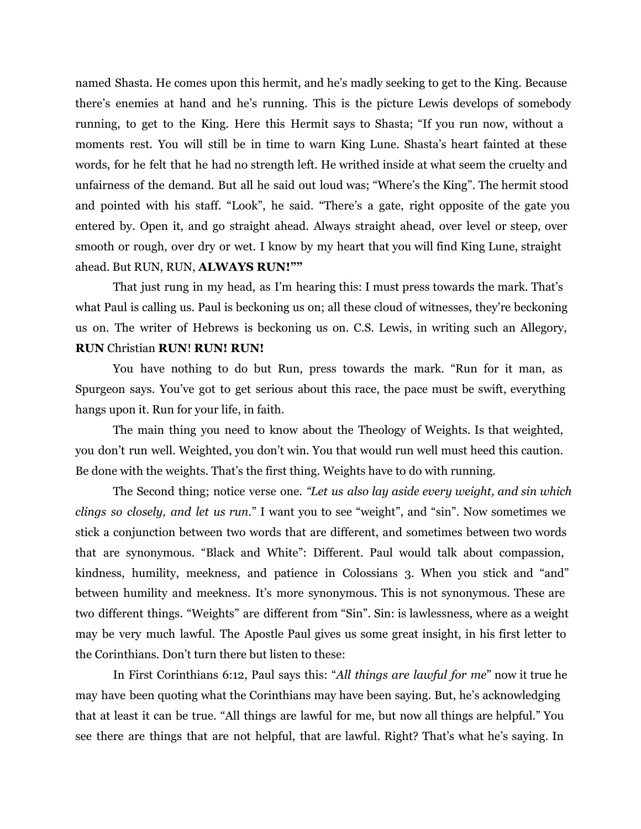named Shasta. He comes upon this hermit, and he's madly seeking to get to the King. Because there's enemies at hand and he's running. This is the picture Lewis develops of somebody running, to get to the King. Here this Hermit says to Shasta; "If you run now, without a moments rest. You will still be in time to warn King Lune. Shasta's heart fainted at these words, for he felt that he had no strength left. He writhed inside at what seem the cruelty and unfairness of the demand. But all he said out loud was; "Where's the King". The hermit stood and pointed with his staff. "Look", he said. "There's a gate, right opposite of the gate you entered by. Open it, and go straight ahead. Always straight ahead, over level or steep, over smooth or rough, over dry or wet. I know by my heart that you will find King Lune, straight ahead. But RUN, RUN, **ALWAYS RUN!""**

That just rung in my head, as I'm hearing this: I must press towards the mark. That's what Paul is calling us. Paul is beckoning us on; all these cloud of witnesses, they're beckoning us on. The writer of Hebrews is beckoning us on. C.S. Lewis, in writing such an Allegory, **RUN** Christian **RUN**! **RUN! RUN!**

You have nothing to do but Run, press towards the mark. "Run for it man, as Spurgeon says. You've got to get serious about this race, the pace must be swift, everything hangs upon it. Run for your life, in faith.

The main thing you need to know about the Theology of Weights. Is that weighted, you don't run well. Weighted, you don't win. You that would run well must heed this caution. Be done with the weights. That's the first thing. Weights have to do with running.

The Second thing; notice verse one. *"Let us also lay aside every weight, and sin which clings so closely, and let us run.*" I want you to see "weight", and "sin". Now sometimes we stick a conjunction between two words that are different, and sometimes between two words that are synonymous. "Black and White": Different. Paul would talk about compassion, kindness, humility, meekness, and patience in Colossians 3. When you stick and "and" between humility and meekness. It's more synonymous. This is not synonymous. These are two different things. "Weights" are different from "Sin". Sin: is lawlessness, where as a weight may be very much lawful. The Apostle Paul gives us some great insight, in his first letter to the Corinthians. Don't turn there but listen to these:

In First Corinthians 6:12, Paul says this: "*All things are lawful for me*" now it true he may have been quoting what the Corinthians may have been saying. But, he's acknowledging that at least it can be true. "All things are lawful for me, but now all things are helpful." You see there are things that are not helpful, that are lawful. Right? That's what he's saying. In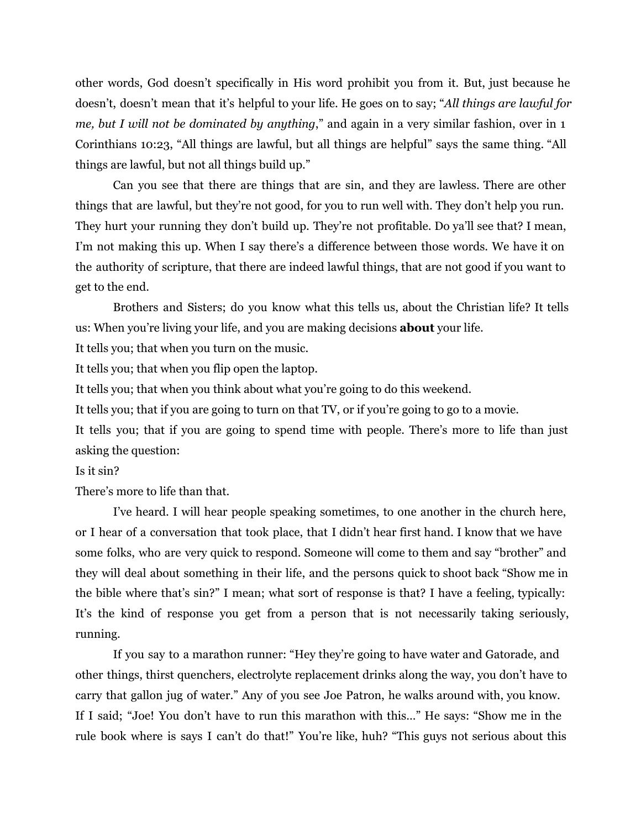other words, God doesn't specifically in His word prohibit you from it. But, just because he doesn't, doesn't mean that it's helpful to your life. He goes on to say; "*All things are lawful for me, but I will not be dominated by anything*," and again in a very similar fashion, over in 1 Corinthians 10:23, "All things are lawful, but all things are helpful" says the same thing. "All things are lawful, but not all things build up."

Can you see that there are things that are sin, and they are lawless. There are other things that are lawful, but they're not good, for you to run well with. They don't help you run. They hurt your running they don't build up. They're not profitable. Do ya'll see that? I mean, I'm not making this up. When I say there's a difference between those words. We have it on the authority of scripture, that there are indeed lawful things, that are not good if you want to get to the end.

Brothers and Sisters; do you know what this tells us, about the Christian life? It tells us: When you're living your life, and you are making decisions **about** your life.

It tells you; that when you turn on the music.

It tells you; that when you flip open the laptop.

It tells you; that when you think about what you're going to do this weekend.

It tells you; that if you are going to turn on that TV, or if you're going to go to a movie.

It tells you; that if you are going to spend time with people. There's more to life than just asking the question:

## Is it sin?

There's more to life than that.

I've heard. I will hear people speaking sometimes, to one another in the church here, or I hear of a conversation that took place, that I didn't hear first hand. I know that we have some folks, who are very quick to respond. Someone will come to them and say "brother" and they will deal about something in their life, and the persons quick to shoot back "Show me in the bible where that's sin?" I mean; what sort of response is that? I have a feeling, typically: It's the kind of response you get from a person that is not necessarily taking seriously, running.

If you say to a marathon runner: "Hey they're going to have water and Gatorade, and other things, thirst quenchers, electrolyte replacement drinks along the way, you don't have to carry that gallon jug of water." Any of you see Joe Patron, he walks around with, you know. If I said; "Joe! You don't have to run this marathon with this…" He says: "Show me in the rule book where is says I can't do that!" You're like, huh? "This guys not serious about this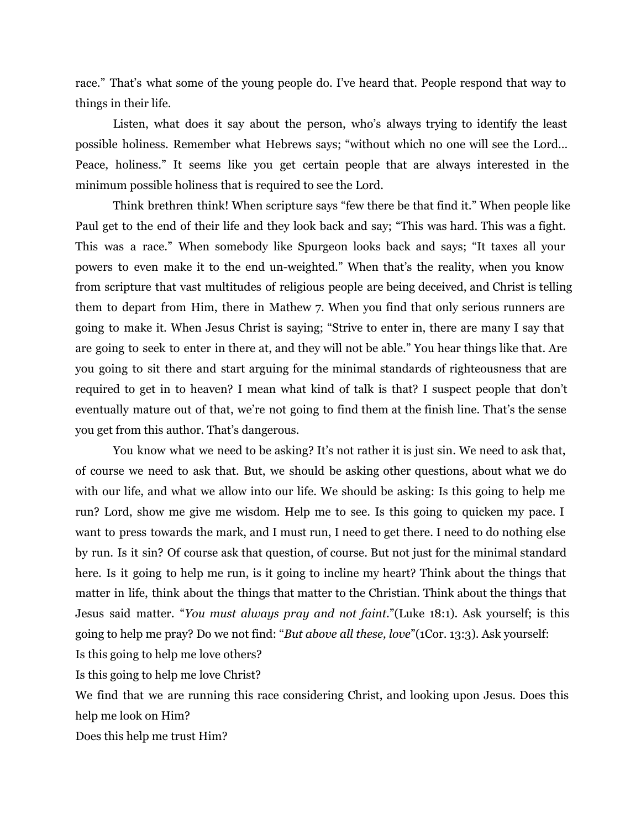race." That's what some of the young people do. I've heard that. People respond that way to things in their life.

Listen, what does it say about the person, who's always trying to identify the least possible holiness. Remember what Hebrews says; "without which no one will see the Lord… Peace, holiness." It seems like you get certain people that are always interested in the minimum possible holiness that is required to see the Lord.

Think brethren think! When scripture says "few there be that find it." When people like Paul get to the end of their life and they look back and say; "This was hard. This was a fight. This was a race." When somebody like Spurgeon looks back and says; "It taxes all your powers to even make it to the end un-weighted." When that's the reality, when you know from scripture that vast multitudes of religious people are being deceived, and Christ is telling them to depart from Him, there in Mathew 7. When you find that only serious runners are going to make it. When Jesus Christ is saying; "Strive to enter in, there are many I say that are going to seek to enter in there at, and they will not be able." You hear things like that. Are you going to sit there and start arguing for the minimal standards of righteousness that are required to get in to heaven? I mean what kind of talk is that? I suspect people that don't eventually mature out of that, we're not going to find them at the finish line. That's the sense you get from this author. That's dangerous.

You know what we need to be asking? It's not rather it is just sin. We need to ask that, of course we need to ask that. But, we should be asking other questions, about what we do with our life, and what we allow into our life. We should be asking: Is this going to help me run? Lord, show me give me wisdom. Help me to see. Is this going to quicken my pace. I want to press towards the mark, and I must run, I need to get there. I need to do nothing else by run. Is it sin? Of course ask that question, of course. But not just for the minimal standard here. Is it going to help me run, is it going to incline my heart? Think about the things that matter in life, think about the things that matter to the Christian. Think about the things that Jesus said matter. "*You must always pray and not faint*."(Luke 18:1). Ask yourself; is this going to help me pray? Do we not find: "*But above all these, love*"(1Cor. 13:3). Ask yourself:

Is this going to help me love others?

Is this going to help me love Christ?

We find that we are running this race considering Christ, and looking upon Jesus. Does this help me look on Him?

Does this help me trust Him?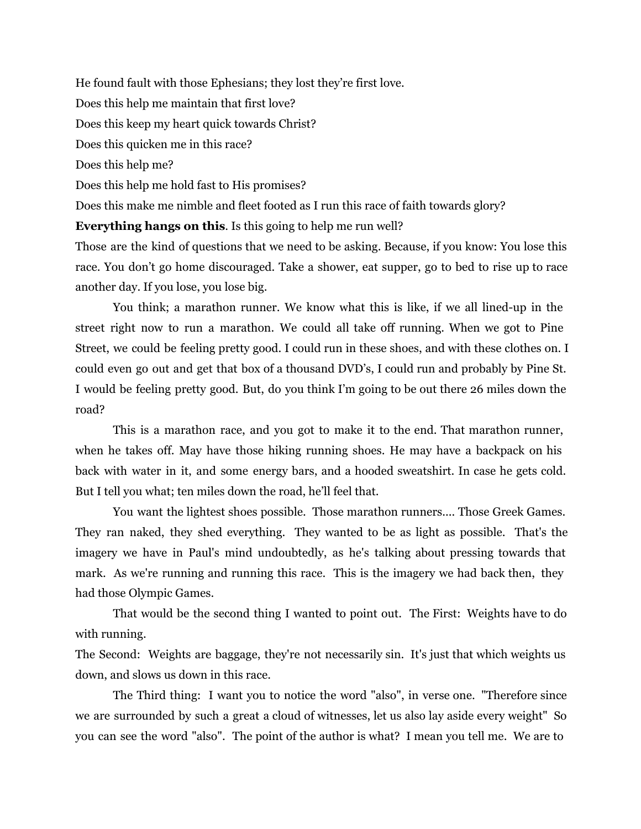He found fault with those Ephesians; they lost they're first love.

Does this help me maintain that first love?

Does this keep my heart quick towards Christ?

Does this quicken me in this race?

Does this help me?

Does this help me hold fast to His promises?

Does this make me nimble and fleet footed as I run this race of faith towards glory?

**Everything hangs on this**. Is this going to help me run well?

Those are the kind of questions that we need to be asking. Because, if you know: You lose this race. You don't go home discouraged. Take a shower, eat supper, go to bed to rise up to race another day. If you lose, you lose big.

You think; a marathon runner. We know what this is like, if we all lined-up in the street right now to run a marathon. We could all take off running. When we got to Pine Street, we could be feeling pretty good. I could run in these shoes, and with these clothes on. I could even go out and get that box of a thousand DVD's, I could run and probably by Pine St. I would be feeling pretty good. But, do you think I'm going to be out there 26 miles down the road?

This is a marathon race, and you got to make it to the end. That marathon runner, when he takes off. May have those hiking running shoes. He may have a backpack on his back with water in it, and some energy bars, and a hooded sweatshirt. In case he gets cold. But I tell you what; ten miles down the road, he'll feel that.

You want the lightest shoes possible. Those marathon runners.... Those Greek Games. They ran naked, they shed everything. They wanted to be as light as possible. That's the imagery we have in Paul's mind undoubtedly, as he's talking about pressing towards that mark. As we're running and running this race. This is the imagery we had back then, they had those Olympic Games.

That would be the second thing I wanted to point out. The First: Weights have to do with running.

The Second: Weights are baggage, they're not necessarily sin. It's just that which weights us down, and slows us down in this race.

The Third thing: I want you to notice the word "also", in verse one. "Therefore since we are surrounded by such a great a cloud of witnesses, let us also lay aside every weight" So you can see the word "also". The point of the author is what? I mean you tell me. We are to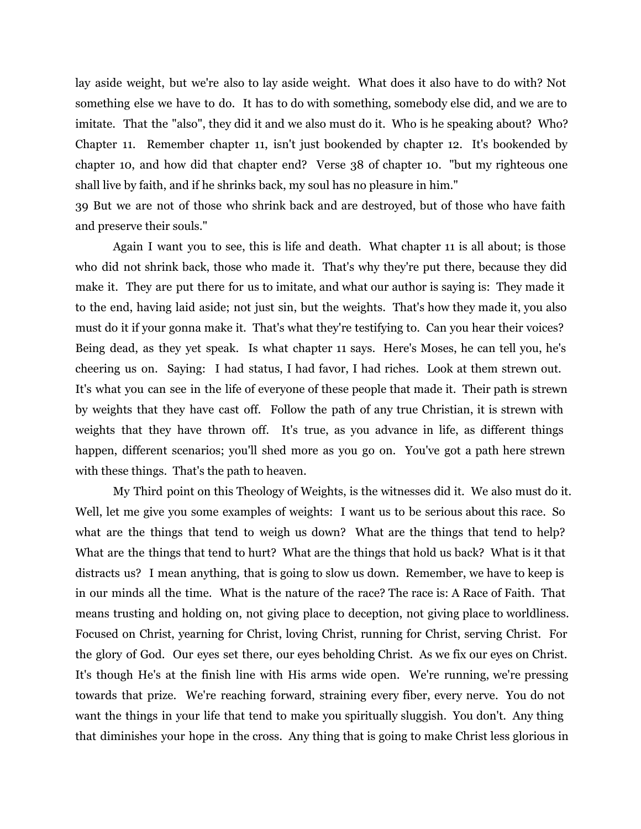lay aside weight, but we're also to lay aside weight. What does it also have to do with? Not something else we have to do. It has to do with something, somebody else did, and we are to imitate. That the "also", they did it and we also must do it. Who is he speaking about? Who? Chapter 11. Remember chapter 11, isn't just bookended by chapter 12. It's bookended by chapter 10, and how did that chapter end? Verse 38 of chapter 10. "but my righteous one shall live by faith, and if he shrinks back, my soul has no pleasure in him."

39 But we are not of those who shrink back and are destroyed, but of those who have faith and preserve their souls."

Again I want you to see, this is life and death. What chapter 11 is all about; is those who did not shrink back, those who made it. That's why they're put there, because they did make it. They are put there for us to imitate, and what our author is saying is: They made it to the end, having laid aside; not just sin, but the weights. That's how they made it, you also must do it if your gonna make it. That's what they're testifying to. Can you hear their voices? Being dead, as they yet speak. Is what chapter 11 says. Here's Moses, he can tell you, he's cheering us on. Saying: I had status, I had favor, I had riches. Look at them strewn out. It's what you can see in the life of everyone of these people that made it. Their path is strewn by weights that they have cast off. Follow the path of any true Christian, it is strewn with weights that they have thrown off. It's true, as you advance in life, as different things happen, different scenarios; you'll shed more as you go on. You've got a path here strewn with these things. That's the path to heaven.

My Third point on this Theology of Weights, is the witnesses did it. We also must do it. Well, let me give you some examples of weights: I want us to be serious about this race. So what are the things that tend to weigh us down? What are the things that tend to help? What are the things that tend to hurt? What are the things that hold us back? What is it that distracts us? I mean anything, that is going to slow us down. Remember, we have to keep is in our minds all the time. What is the nature of the race? The race is: A Race of Faith. That means trusting and holding on, not giving place to deception, not giving place to worldliness. Focused on Christ, yearning for Christ, loving Christ, running for Christ, serving Christ. For the glory of God. Our eyes set there, our eyes beholding Christ. As we fix our eyes on Christ. It's though He's at the finish line with His arms wide open. We're running, we're pressing towards that prize. We're reaching forward, straining every fiber, every nerve. You do not want the things in your life that tend to make you spiritually sluggish. You don't. Any thing that diminishes your hope in the cross. Any thing that is going to make Christ less glorious in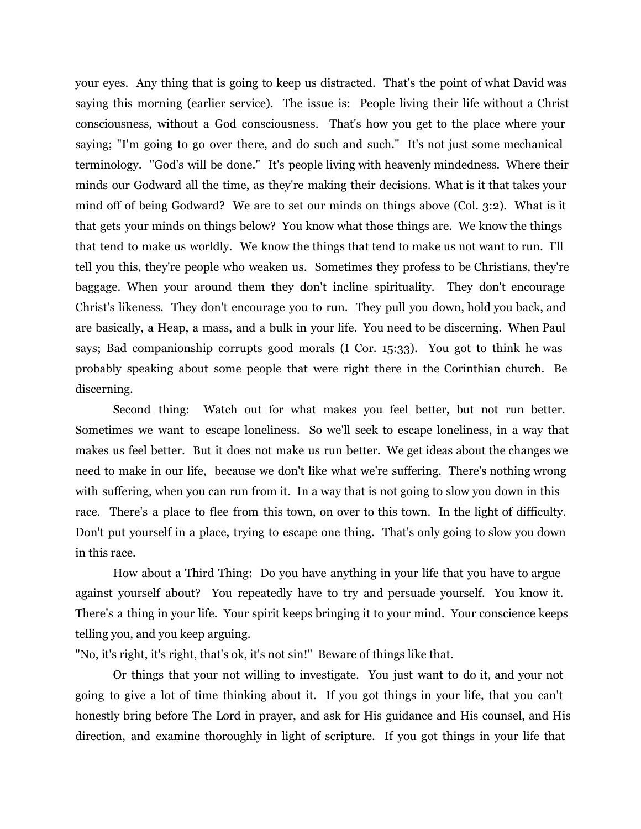your eyes. Any thing that is going to keep us distracted. That's the point of what David was saying this morning (earlier service). The issue is: People living their life without a Christ consciousness, without a God consciousness. That's how you get to the place where your saying; "I'm going to go over there, and do such and such." It's not just some mechanical terminology. "God's will be done." It's people living with heavenly mindedness. Where their minds our Godward all the time, as they're making their decisions. What is it that takes your mind off of being Godward? We are to set our minds on things above (Col. 3:2). What is it that gets your minds on things below? You know what those things are. We know the things that tend to make us worldly. We know the things that tend to make us not want to run. I'll tell you this, they're people who weaken us. Sometimes they profess to be Christians, they're baggage. When your around them they don't incline spirituality. They don't encourage Christ's likeness. They don't encourage you to run. They pull you down, hold you back, and are basically, a Heap, a mass, and a bulk in your life. You need to be discerning. When Paul says; Bad companionship corrupts good morals (I Cor. 15:33). You got to think he was probably speaking about some people that were right there in the Corinthian church. Be discerning.

Second thing: Watch out for what makes you feel better, but not run better. Sometimes we want to escape loneliness. So we'll seek to escape loneliness, in a way that makes us feel better. But it does not make us run better. We get ideas about the changes we need to make in our life, because we don't like what we're suffering. There's nothing wrong with suffering, when you can run from it. In a way that is not going to slow you down in this race. There's a place to flee from this town, on over to this town. In the light of difficulty. Don't put yourself in a place, trying to escape one thing. That's only going to slow you down in this race.

How about a Third Thing: Do you have anything in your life that you have to argue against yourself about? You repeatedly have to try and persuade yourself. You know it. There's a thing in your life. Your spirit keeps bringing it to your mind. Your conscience keeps telling you, and you keep arguing.

"No, it's right, it's right, that's ok, it's not sin!" Beware of things like that.

Or things that your not willing to investigate. You just want to do it, and your not going to give a lot of time thinking about it. If you got things in your life, that you can't honestly bring before The Lord in prayer, and ask for His guidance and His counsel, and His direction, and examine thoroughly in light of scripture. If you got things in your life that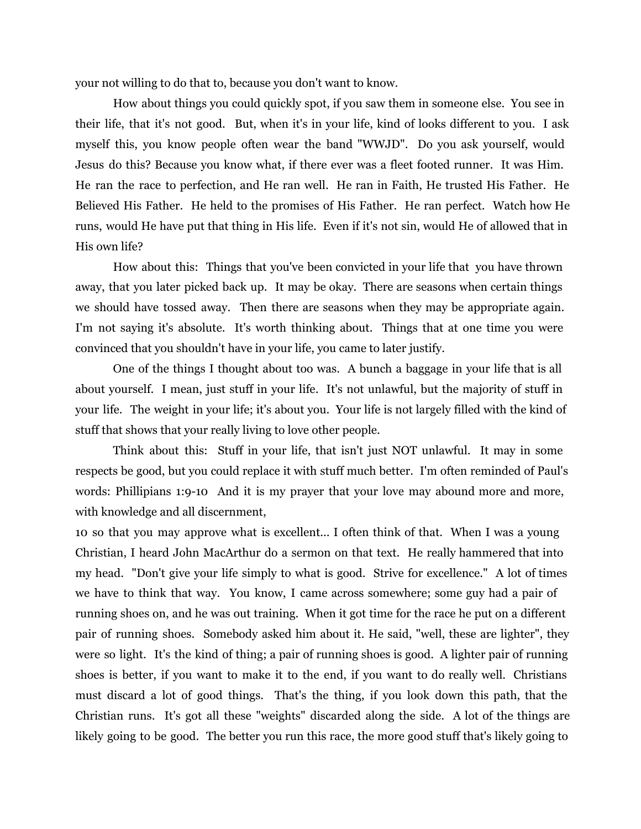your not willing to do that to, because you don't want to know.

How about things you could quickly spot, if you saw them in someone else. You see in their life, that it's not good. But, when it's in your life, kind of looks different to you. I ask myself this, you know people often wear the band "WWJD". Do you ask yourself, would Jesus do this? Because you know what, if there ever was a fleet footed runner. It was Him. He ran the race to perfection, and He ran well. He ran in Faith, He trusted His Father. He Believed His Father. He held to the promises of His Father. He ran perfect. Watch how He runs, would He have put that thing in His life. Even if it's not sin, would He of allowed that in His own life?

How about this: Things that you've been convicted in your life that you have thrown away, that you later picked back up. It may be okay. There are seasons when certain things we should have tossed away. Then there are seasons when they may be appropriate again. I'm not saying it's absolute. It's worth thinking about. Things that at one time you were convinced that you shouldn't have in your life, you came to later justify.

One of the things I thought about too was. A bunch a baggage in your life that is all about yourself. I mean, just stuff in your life. It's not unlawful, but the majority of stuff in your life. The weight in your life; it's about you. Your life is not largely filled with the kind of stuff that shows that your really living to love other people.

Think about this: Stuff in your life, that isn't just NOT unlawful. It may in some respects be good, but you could replace it with stuff much better. I'm often reminded of Paul's words: Phillipians 1:9-10 And it is my prayer that your love may abound more and more, with knowledge and all discernment,

10 so that you may approve what is excellent... I often think of that. When I was a young Christian, I heard John MacArthur do a sermon on that text. He really hammered that into my head. "Don't give your life simply to what is good. Strive for excellence." A lot of times we have to think that way. You know, I came across somewhere; some guy had a pair of running shoes on, and he was out training. When it got time for the race he put on a different pair of running shoes. Somebody asked him about it. He said, "well, these are lighter", they were so light. It's the kind of thing; a pair of running shoes is good. A lighter pair of running shoes is better, if you want to make it to the end, if you want to do really well. Christians must discard a lot of good things. That's the thing, if you look down this path, that the Christian runs. It's got all these "weights" discarded along the side. A lot of the things are likely going to be good. The better you run this race, the more good stuff that's likely going to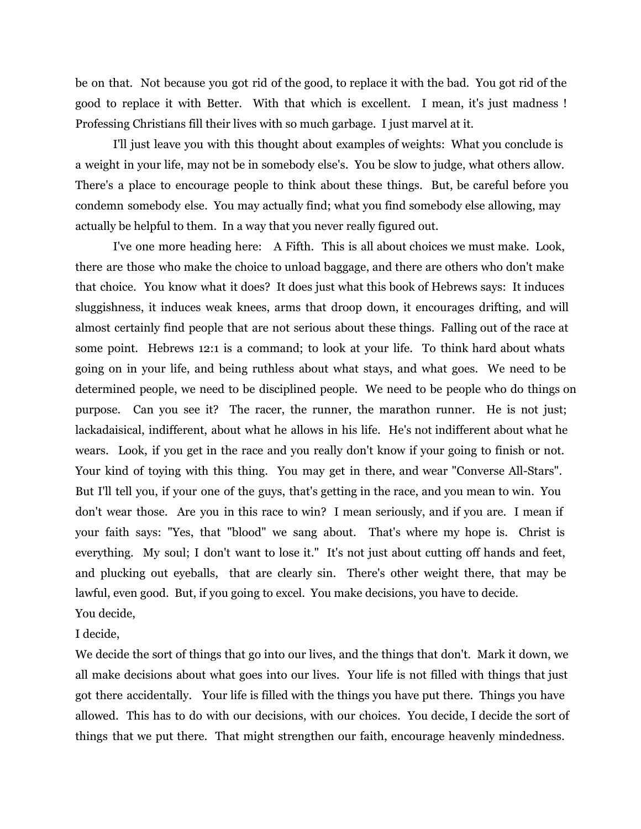be on that. Not because you got rid of the good, to replace it with the bad. You got rid of the good to replace it with Better. With that which is excellent. I mean, it's just madness ! Professing Christians fill their lives with so much garbage. I just marvel at it.

I'll just leave you with this thought about examples of weights: What you conclude is a weight in your life, may not be in somebody else's. You be slow to judge, what others allow. There's a place to encourage people to think about these things. But, be careful before you condemn somebody else. You may actually find; what you find somebody else allowing, may actually be helpful to them. In a way that you never really figured out.

I've one more heading here: A Fifth. This is all about choices we must make. Look, there are those who make the choice to unload baggage, and there are others who don't make that choice. You know what it does? It does just what this book of Hebrews says: It induces sluggishness, it induces weak knees, arms that droop down, it encourages drifting, and will almost certainly find people that are not serious about these things. Falling out of the race at some point. Hebrews 12:1 is a command; to look at your life. To think hard about whats going on in your life, and being ruthless about what stays, and what goes. We need to be determined people, we need to be disciplined people. We need to be people who do things on purpose. Can you see it? The racer, the runner, the marathon runner. He is not just; lackadaisical, indifferent, about what he allows in his life. He's not indifferent about what he wears. Look, if you get in the race and you really don't know if your going to finish or not. Your kind of toying with this thing. You may get in there, and wear "Converse All-Stars". But I'll tell you, if your one of the guys, that's getting in the race, and you mean to win. You don't wear those. Are you in this race to win? I mean seriously, and if you are. I mean if your faith says: "Yes, that "blood" we sang about. That's where my hope is. Christ is everything. My soul; I don't want to lose it." It's not just about cutting off hands and feet, and plucking out eyeballs, that are clearly sin. There's other weight there, that may be lawful, even good. But, if you going to excel. You make decisions, you have to decide. You decide,

I decide,

We decide the sort of things that go into our lives, and the things that don't. Mark it down, we all make decisions about what goes into our lives. Your life is not filled with things that just got there accidentally. Your life is filled with the things you have put there. Things you have allowed. This has to do with our decisions, with our choices. You decide, I decide the sort of things that we put there. That might strengthen our faith, encourage heavenly mindedness.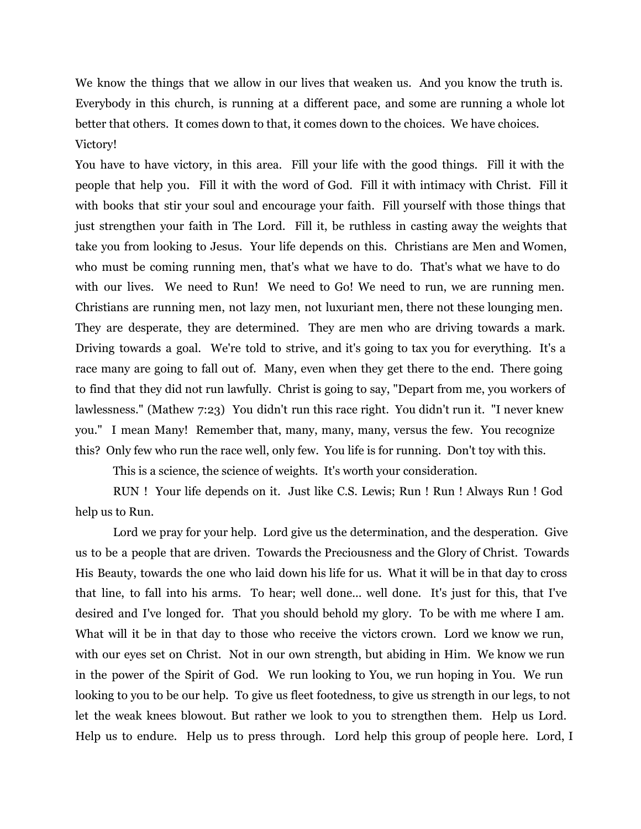We know the things that we allow in our lives that weaken us. And you know the truth is. Everybody in this church, is running at a different pace, and some are running a whole lot better that others. It comes down to that, it comes down to the choices. We have choices. Victory!

You have to have victory, in this area. Fill your life with the good things. Fill it with the people that help you. Fill it with the word of God. Fill it with intimacy with Christ. Fill it with books that stir your soul and encourage your faith. Fill yourself with those things that just strengthen your faith in The Lord. Fill it, be ruthless in casting away the weights that take you from looking to Jesus. Your life depends on this. Christians are Men and Women, who must be coming running men, that's what we have to do. That's what we have to do with our lives. We need to Run! We need to Go! We need to run, we are running men. Christians are running men, not lazy men, not luxuriant men, there not these lounging men. They are desperate, they are determined. They are men who are driving towards a mark. Driving towards a goal. We're told to strive, and it's going to tax you for everything. It's a race many are going to fall out of. Many, even when they get there to the end. There going to find that they did not run lawfully. Christ is going to say, "Depart from me, you workers of lawlessness." (Mathew 7:23) You didn't run this race right. You didn't run it. "I never knew you." I mean Many! Remember that, many, many, many, versus the few. You recognize this? Only few who run the race well, only few. You life is for running. Don't toy with this.

This is a science, the science of weights. It's worth your consideration.

RUN ! Your life depends on it. Just like C.S. Lewis; Run ! Run ! Always Run ! God help us to Run.

Lord we pray for your help. Lord give us the determination, and the desperation. Give us to be a people that are driven. Towards the Preciousness and the Glory of Christ. Towards His Beauty, towards the one who laid down his life for us. What it will be in that day to cross that line, to fall into his arms. To hear; well done... well done. It's just for this, that I've desired and I've longed for. That you should behold my glory. To be with me where I am. What will it be in that day to those who receive the victors crown. Lord we know we run, with our eyes set on Christ. Not in our own strength, but abiding in Him. We know we run in the power of the Spirit of God. We run looking to You, we run hoping in You. We run looking to you to be our help. To give us fleet footedness, to give us strength in our legs, to not let the weak knees blowout. But rather we look to you to strengthen them. Help us Lord. Help us to endure. Help us to press through. Lord help this group of people here. Lord, I